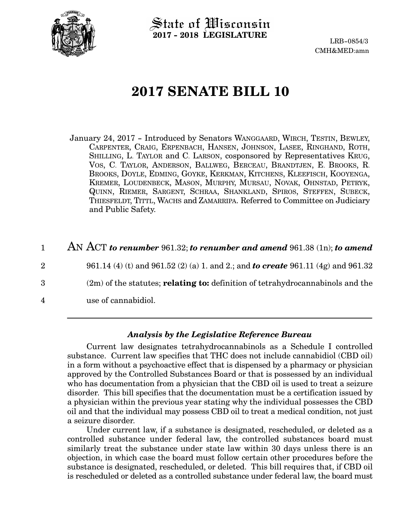

State of Wisconsin **2017 - 2018 LEGISLATURE**

LRB-0854/3 CMH&MED:amn

# **2017 SENATE BILL 10**

January 24, 2017 - Introduced by Senators WANGGAARD, WIRCH, TESTIN, BEWLEY, CARPENTER, CRAIG, ERPENBACH, HANSEN, JOHNSON, LASEE, RINGHAND, ROTH, SHILLING, L. TAYLOR and C. LARSON, cosponsored by Representatives KRUG, VOS, C. TAYLOR, ANDERSON, BALLWEG, BERCEAU, BRANDTJEN, E. BROOKS, R. BROOKS, DOYLE, EDMING, GOYKE, KERKMAN, KITCHENS, KLEEFISCH, KOOYENGA, KREMER, LOUDENBECK, MASON, MURPHY, MURSAU, NOVAK, OHNSTAD, PETRYK, QUINN, RIEMER, SARGENT, SCHRAA, SHANKLAND, SPIROS, STEFFEN, SUBECK, THIESFELDT, TITTL, WACHS and ZAMARRIPA. Referred to Committee on Judiciary and Public Safety.

#### AN ACT *to renumber* 961.32; *to renumber and amend* 961.38 (1n); *to amend* 1

961.14 (4) (t) and 961.52 (2) (a) 1. and 2.; and *to create* 961.11 (4g) and 961.32 (2m) of the statutes; **relating to:** definition of tetrahydrocannabinols and the use of cannabidiol. 2 3 4

#### *Analysis by the Legislative Reference Bureau*

Current law designates tetrahydrocannabinols as a Schedule I controlled substance. Current law specifies that THC does not include cannabidiol (CBD oil) in a form without a psychoactive effect that is dispensed by a pharmacy or physician approved by the Controlled Substances Board or that is possessed by an individual who has documentation from a physician that the CBD oil is used to treat a seizure disorder. This bill specifies that the documentation must be a certification issued by a physician within the previous year stating why the individual possesses the CBD oil and that the individual may possess CBD oil to treat a medical condition, not just a seizure disorder.

Under current law, if a substance is designated, rescheduled, or deleted as a controlled substance under federal law, the controlled substances board must similarly treat the substance under state law within 30 days unless there is an objection, in which case the board must follow certain other procedures before the substance is designated, rescheduled, or deleted. This bill requires that, if CBD oil is rescheduled or deleted as a controlled substance under federal law, the board must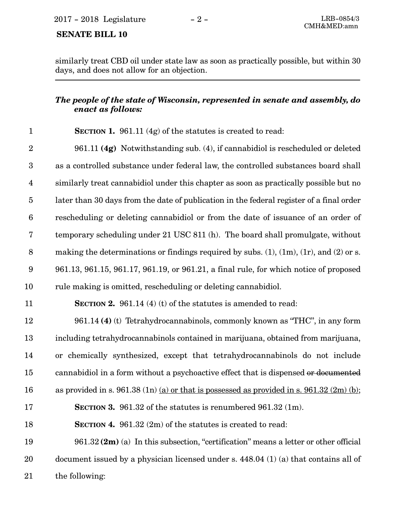## **SENATE BILL 10**

similarly treat CBD oil under state law as soon as practically possible, but within 30 days, and does not allow for an objection.

#### *The people of the state of Wisconsin, represented in senate and assembly, do enact as follows:*

| $\mathbf{1}$     | <b>SECTION 1.</b> 961.11 (4g) of the statutes is created to read:                                 |
|------------------|---------------------------------------------------------------------------------------------------|
| $\boldsymbol{2}$ | 961.11 (4g) Notwithstanding sub. (4), if cannabidiol is rescheduled or deleted                    |
| $\boldsymbol{3}$ | as a controlled substance under federal law, the controlled substances board shall                |
| $\overline{4}$   | similarly treat cannabidiol under this chapter as soon as practically possible but no             |
| $\overline{5}$   | later than 30 days from the date of publication in the federal register of a final order          |
| $\boldsymbol{6}$ | rescheduling or deleting cannabidiol or from the date of issuance of an order of                  |
| $\bf 7$          | temporary scheduling under 21 USC 811 (h). The board shall promulgate, without                    |
| $8\,$            | making the determinations or findings required by subs. $(1)$ , $(1m)$ , $(1r)$ , and $(2)$ or s. |
| $\boldsymbol{9}$ | 961.13, 961.15, 961.17, 961.19, or 961.21, a final rule, for which notice of proposed             |
| 10               | rule making is omitted, rescheduling or deleting cannabidiol.                                     |
| 11               | <b>SECTION 2.</b> 961.14 (4) (t) of the statutes is amended to read:                              |
| 12               | 961.14 (4) (t) Tetrahydrocannabinols, commonly known as "THC", in any form                        |
| 13               | including tetrahydrocannabinols contained in marijuana, obtained from marijuana,                  |
| 14               | or chemically synthesized, except that tetrahydrocannabinols do not include                       |
| 15               | cannabidiol in a form without a psychoactive effect that is dispensed or documented               |
| 16               | as provided in s. 961.38 (1n) (a) or that is possessed as provided in s. 961.32 (2m) (b);         |
| 17               | <b>SECTION 3.</b> 961.32 of the statutes is renumbered 961.32 (1m).                               |
| 18               | <b>SECTION 4.</b> 961.32 $(2m)$ of the statutes is created to read:                               |
| 19               | $961.32$ (2m) (a) In this subsection, "certification" means a letter or other official            |
| 20               | document issued by a physician licensed under s. 448.04 (1) (a) that contains all of              |
| 21               | the following:                                                                                    |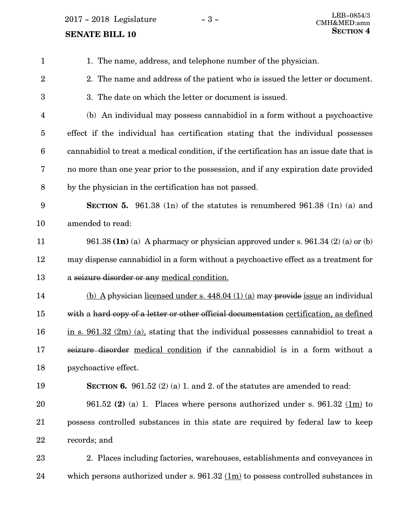**SENATE BILL 10** 

| $\mathbf{1}$            | 1. The name, address, and telephone number of the physician.                                    |
|-------------------------|-------------------------------------------------------------------------------------------------|
| $\overline{2}$          | 2. The name and address of the patient who is issued the letter or document.                    |
| 3                       | 3. The date on which the letter or document is issued.                                          |
| $\overline{\mathbf{4}}$ | (b) An individual may possess cannabidiol in a form without a psychoactive                      |
| $\overline{5}$          | effect if the individual has certification stating that the individual possesses                |
| $\boldsymbol{6}$        | cannabidiol to treat a medical condition, if the certification has an issue date that is        |
| 7                       | no more than one year prior to the possession, and if any expiration date provided              |
| $\, 8$                  | by the physician in the certification has not passed.                                           |
| 9                       | <b>SECTION 5.</b> 961.38 (1n) of the statutes is renumbered 961.38 (1n) (a) and                 |
| 10                      | amended to read:                                                                                |
| 11                      | 961.38 $(1n)$ (a) A pharmacy or physician approved under s. 961.34 $(2)$ (a) or (b)             |
| 12                      | may dispense cannabidiol in a form without a psychoactive effect as a treatment for             |
| 13                      | a seizure disorder or any medical condition.                                                    |
| 14                      | (b) A physician licensed under s. $448.04$ (1) (a) may provide issue an individual              |
| 15                      | with a hard copy of a letter or other official documentation certification, as defined          |
| 16                      | in s. $961.32$ (2m) (a), stating that the individual possesses cannabidiol to treat a           |
| 17                      | seizure disorder medical condition if the cannabidiol is in a form without a                    |
| 18                      | psychoactive effect.                                                                            |
| 19                      | <b>SECTION 6.</b> 961.52 (2) (a) 1. and 2. of the statutes are amended to read:                 |
| 20                      | 961.52 (2) (a) 1. Places where persons authorized under s. 961.32 (1m) to                       |
| 21                      | possess controlled substances in this state are required by federal law to keep                 |
| 22                      | records; and                                                                                    |
| 23                      | 2. Places including factories, warehouses, establishments and conveyances in                    |
| 24                      | which persons authorized under s. $961.32 \underline{(1m)}$ to possess controlled substances in |